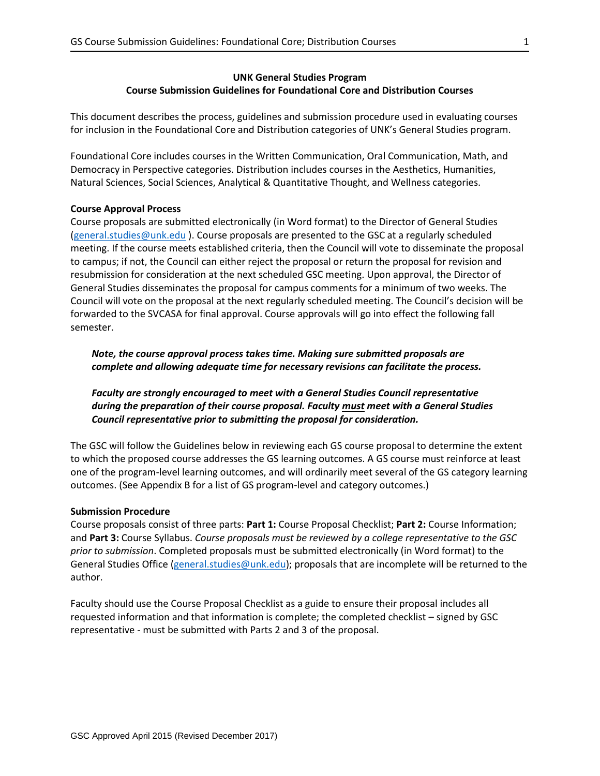# **UNK General Studies Program Course Submission Guidelines for Foundational Core and Distribution Courses**

This document describes the process, guidelines and submission procedure used in evaluating courses for inclusion in the Foundational Core and Distribution categories of UNK's General Studies program.

Foundational Core includes courses in the Written Communication, Oral Communication, Math, and Democracy in Perspective categories. Distribution includes courses in the Aesthetics, Humanities, Natural Sciences, Social Sciences, Analytical & Quantitative Thought, and Wellness categories.

## **Course Approval Process**

Course proposals are submitted electronically (in Word format) to the Director of General Studies [\(general.studies@unk.edu](mailto:general.studies@unk.edu) ). Course proposals are presented to the GSC at a regularly scheduled meeting. If the course meets established criteria, then the Council will vote to disseminate the proposal to campus; if not, the Council can either reject the proposal or return the proposal for revision and resubmission for consideration at the next scheduled GSC meeting. Upon approval, the Director of General Studies disseminates the proposal for campus comments for a minimum of two weeks. The Council will vote on the proposal at the next regularly scheduled meeting. The Council's decision will be forwarded to the SVCASA for final approval. Course approvals will go into effect the following fall semester.

*Note, the course approval process takes time. Making sure submitted proposals are complete and allowing adequate time for necessary revisions can facilitate the process.*

*Faculty are strongly encouraged to meet with a General Studies Council representative during the preparation of their course proposal. Faculty must meet with a General Studies Council representative prior to submitting the proposal for consideration.*

The GSC will follow the Guidelines below in reviewing each GS course proposal to determine the extent to which the proposed course addresses the GS learning outcomes. A GS course must reinforce at least one of the program-level learning outcomes, and will ordinarily meet several of the GS category learning outcomes. (See Appendix B for a list of GS program-level and category outcomes.)

## **Submission Procedure**

Course proposals consist of three parts: **Part 1:** Course Proposal Checklist; **Part 2:** Course Information; and **Part 3:** Course Syllabus. *Course proposals must be reviewed by a college representative to the GSC prior to submission*. Completed proposals must be submitted electronically (in Word format) to the General Studies Office [\(general.studies@unk.edu\)](mailto:general.studies@unk.edu); proposals that are incomplete will be returned to the author.

Faculty should use the Course Proposal Checklist as a guide to ensure their proposal includes all requested information and that information is complete; the completed checklist – signed by GSC representative - must be submitted with Parts 2 and 3 of the proposal.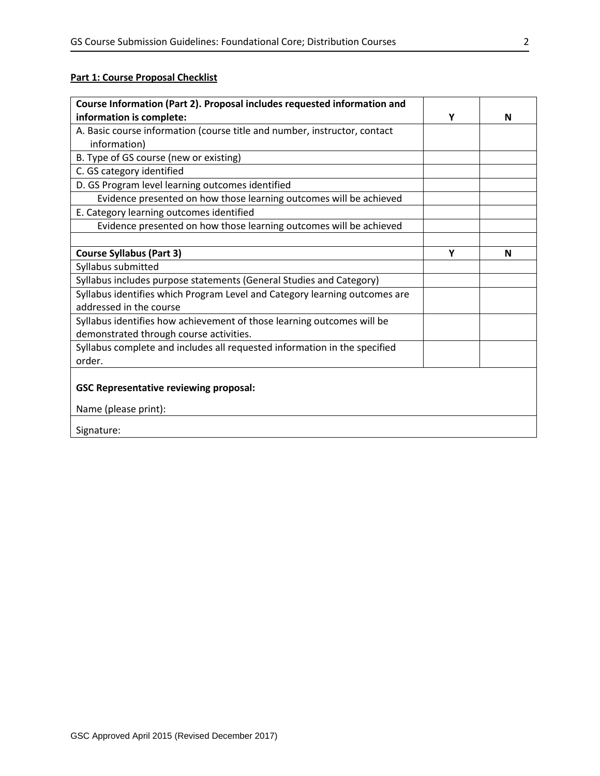# **Part 1: Course Proposal Checklist**

| Course Information (Part 2). Proposal includes requested information and   |   |   |
|----------------------------------------------------------------------------|---|---|
| information is complete:                                                   | Υ | N |
| A. Basic course information (course title and number, instructor, contact  |   |   |
| information)                                                               |   |   |
| B. Type of GS course (new or existing)                                     |   |   |
| C. GS category identified                                                  |   |   |
| D. GS Program level learning outcomes identified                           |   |   |
| Evidence presented on how those learning outcomes will be achieved         |   |   |
| E. Category learning outcomes identified                                   |   |   |
| Evidence presented on how those learning outcomes will be achieved         |   |   |
|                                                                            |   |   |
| <b>Course Syllabus (Part 3)</b>                                            | Y | N |
| Syllabus submitted                                                         |   |   |
| Syllabus includes purpose statements (General Studies and Category)        |   |   |
| Syllabus identifies which Program Level and Category learning outcomes are |   |   |
| addressed in the course                                                    |   |   |
| Syllabus identifies how achievement of those learning outcomes will be     |   |   |
| demonstrated through course activities.                                    |   |   |
| Syllabus complete and includes all requested information in the specified  |   |   |
| order.                                                                     |   |   |
|                                                                            |   |   |
| <b>GSC Representative reviewing proposal:</b>                              |   |   |
| Name (please print):                                                       |   |   |
| Signature:                                                                 |   |   |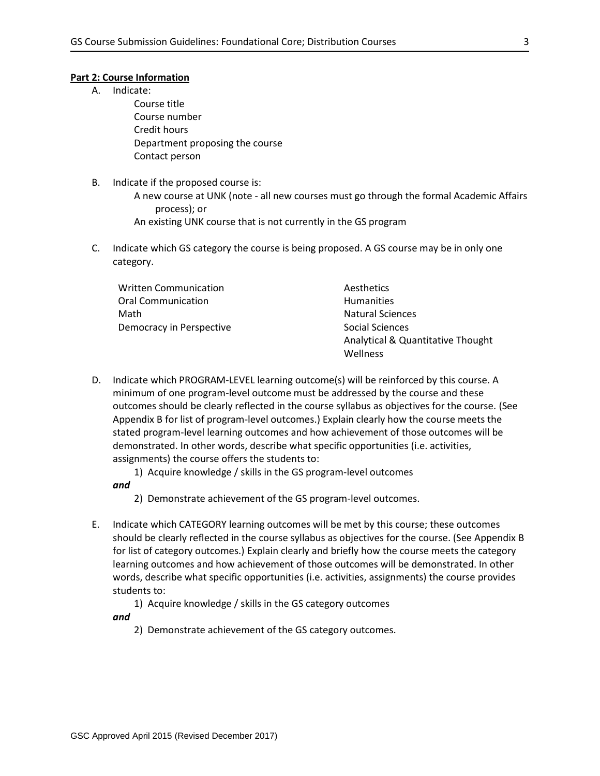### **Part 2: Course Information**

A. Indicate:

Course title Course number Credit hours Department proposing the course Contact person

B. Indicate if the proposed course is:

A new course at UNK (note - all new courses must go through the formal Academic Affairs process); or

An existing UNK course that is not currently in the GS program

C. Indicate which GS category the course is being proposed. A GS course may be in only one category.

| <b>Written Communication</b> | Aesthetics                        |
|------------------------------|-----------------------------------|
| <b>Oral Communication</b>    | <b>Humanities</b>                 |
| Math                         | <b>Natural Sciences</b>           |
| Democracy in Perspective     | Social Sciences                   |
|                              | Analytical & Quantitative Thought |
|                              | Wellness                          |

- D. Indicate which PROGRAM-LEVEL learning outcome(s) will be reinforced by this course. A minimum of one program-level outcome must be addressed by the course and these outcomes should be clearly reflected in the course syllabus as objectives for the course. (See Appendix B for list of program-level outcomes.) Explain clearly how the course meets the stated program-level learning outcomes and how achievement of those outcomes will be demonstrated. In other words, describe what specific opportunities (i.e. activities, assignments) the course offers the students to:
	- 1) Acquire knowledge / skills in the GS program-level outcomes

*and* 

- 2) Demonstrate achievement of the GS program-level outcomes.
- E. Indicate which CATEGORY learning outcomes will be met by this course; these outcomes should be clearly reflected in the course syllabus as objectives for the course. (See Appendix B for list of category outcomes.) Explain clearly and briefly how the course meets the category learning outcomes and how achievement of those outcomes will be demonstrated. In other words, describe what specific opportunities (i.e. activities, assignments) the course provides students to:
	- 1) Acquire knowledge / skills in the GS category outcomes

*and* 

2) Demonstrate achievement of the GS category outcomes.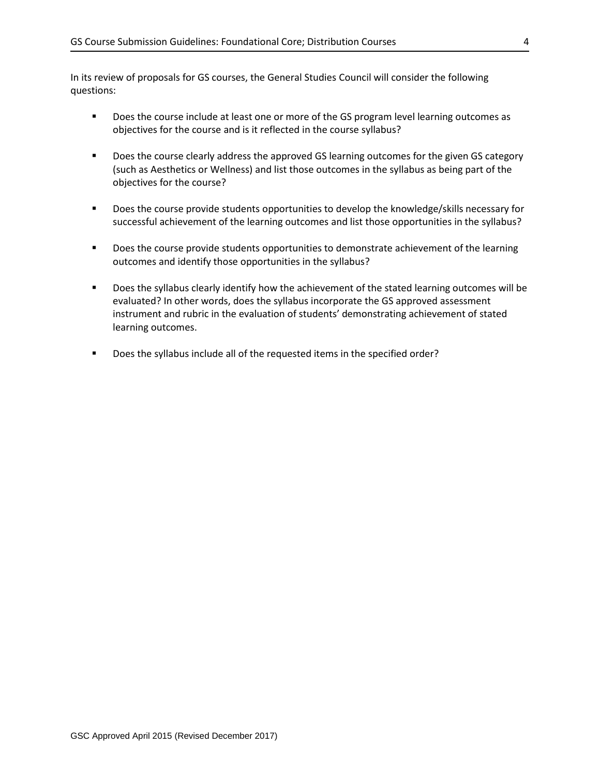In its review of proposals for GS courses, the General Studies Council will consider the following questions:

- **Does the course include at least one or more of the GS program level learning outcomes as** objectives for the course and is it reflected in the course syllabus?
- Does the course clearly address the approved GS learning outcomes for the given GS category (such as Aesthetics or Wellness) and list those outcomes in the syllabus as being part of the objectives for the course?
- **Does the course provide students opportunities to develop the knowledge/skills necessary for** successful achievement of the learning outcomes and list those opportunities in the syllabus?
- **Does the course provide students opportunities to demonstrate achievement of the learning** outcomes and identify those opportunities in the syllabus?
- **Does the syllabus clearly identify how the achievement of the stated learning outcomes will be** evaluated? In other words, does the syllabus incorporate the GS approved assessment instrument and rubric in the evaluation of students' demonstrating achievement of stated learning outcomes.
- Does the syllabus include all of the requested items in the specified order?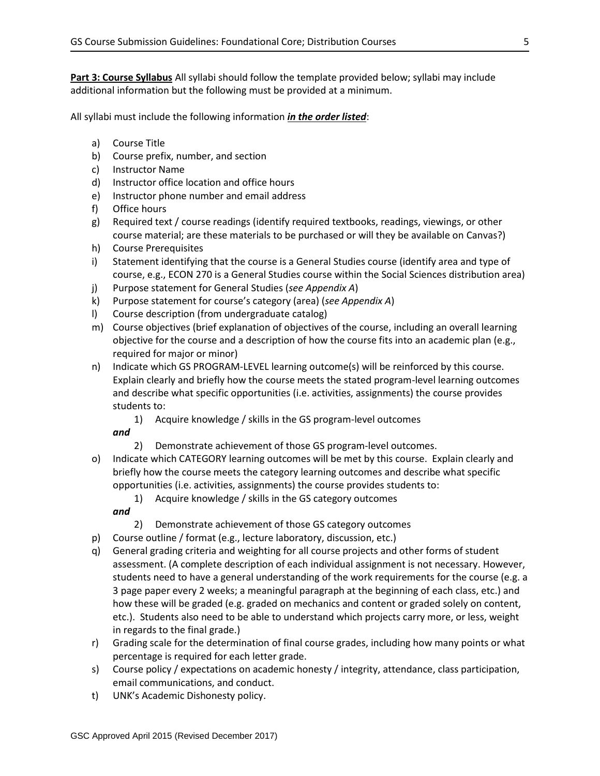**Part 3: Course Syllabus** All syllabi should follow the template provided below; syllabi may include additional information but the following must be provided at a minimum.

All syllabi must include the following information *in the order listed*:

- a) Course Title
- b) Course prefix, number, and section
- c) Instructor Name
- d) Instructor office location and office hours
- e) Instructor phone number and email address
- f) Office hours
- g) Required text / course readings (identify required textbooks, readings, viewings, or other course material; are these materials to be purchased or will they be available on Canvas?)
- h) Course Prerequisites
- i) Statement identifying that the course is a General Studies course (identify area and type of course, e.g., ECON 270 is a General Studies course within the Social Sciences distribution area)
- j) Purpose statement for General Studies (*see Appendix A*)
- k) Purpose statement for course's category (area) (*see Appendix A*)
- l) Course description (from undergraduate catalog)
- m) Course objectives (brief explanation of objectives of the course, including an overall learning objective for the course and a description of how the course fits into an academic plan (e.g., required for major or minor)
- n) Indicate which GS PROGRAM-LEVEL learning outcome(s) will be reinforced by this course. Explain clearly and briefly how the course meets the stated program-level learning outcomes and describe what specific opportunities (i.e. activities, assignments) the course provides students to:
	- 1) Acquire knowledge / skills in the GS program-level outcomes

*and*

- 2) Demonstrate achievement of those GS program-level outcomes.
- o) Indicate which CATEGORY learning outcomes will be met by this course. Explain clearly and briefly how the course meets the category learning outcomes and describe what specific opportunities (i.e. activities, assignments) the course provides students to:
	- 1) Acquire knowledge / skills in the GS category outcomes

*and*

- 2) Demonstrate achievement of those GS category outcomes
- p) Course outline / format (e.g., lecture laboratory, discussion, etc.)
- q) General grading criteria and weighting for all course projects and other forms of student assessment. (A complete description of each individual assignment is not necessary. However, students need to have a general understanding of the work requirements for the course (e.g. a 3 page paper every 2 weeks; a meaningful paragraph at the beginning of each class, etc.) and how these will be graded (e.g. graded on mechanics and content or graded solely on content, etc.). Students also need to be able to understand which projects carry more, or less, weight in regards to the final grade.)
- r) Grading scale for the determination of final course grades, including how many points or what percentage is required for each letter grade.
- s) Course policy / expectations on academic honesty / integrity, attendance, class participation, email communications, and conduct.
- t) UNK's Academic Dishonesty policy.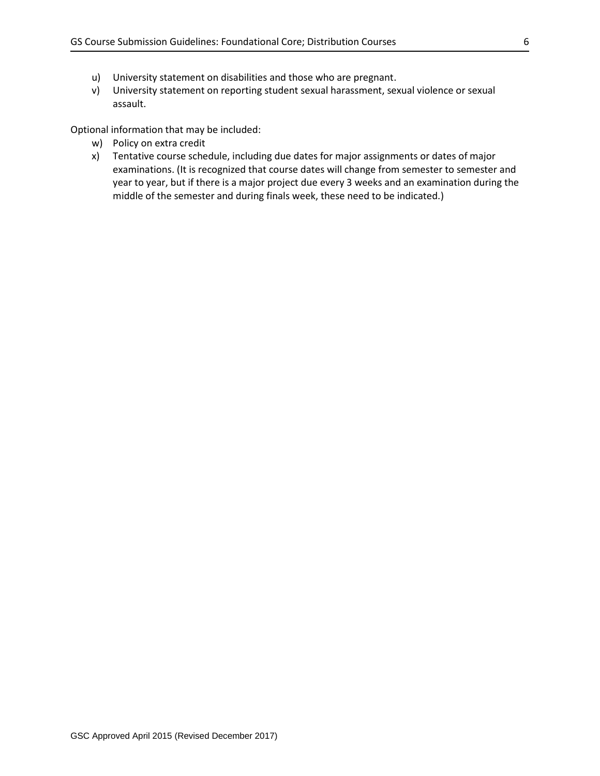- u) University statement on disabilities and those who are pregnant.
- v) University statement on reporting student sexual harassment, sexual violence or sexual assault.

Optional information that may be included:

- w) Policy on extra credit
- x) Tentative course schedule, including due dates for major assignments or dates of major examinations. (It is recognized that course dates will change from semester to semester and year to year, but if there is a major project due every 3 weeks and an examination during the middle of the semester and during finals week, these need to be indicated.)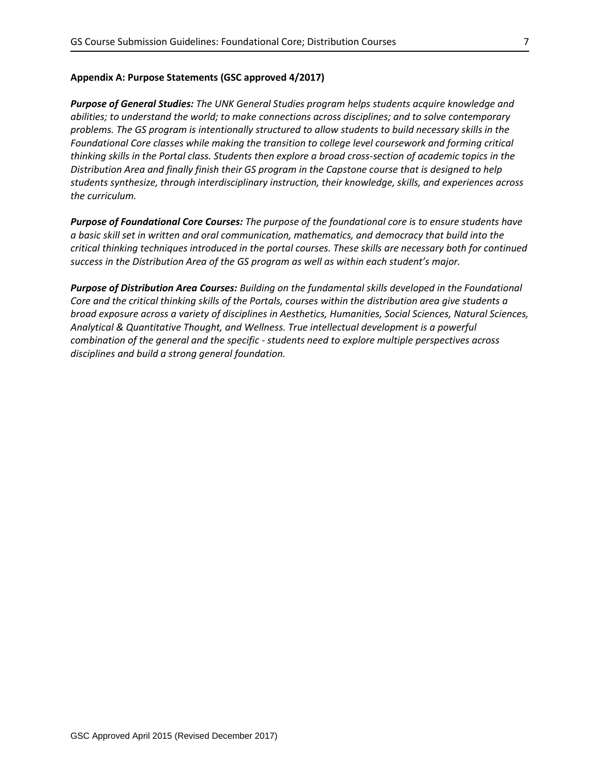# **Appendix A: Purpose Statements (GSC approved 4/2017)**

*Purpose of General Studies: The UNK General Studies program helps students acquire knowledge and abilities; to understand the world; to make connections across disciplines; and to solve contemporary problems. The GS program is intentionally structured to allow students to build necessary skills in the Foundational Core classes while making the transition to college level coursework and forming critical thinking skills in the Portal class. Students then explore a broad cross-section of academic topics in the Distribution Area and finally finish their GS program in the Capstone course that is designed to help students synthesize, through interdisciplinary instruction, their knowledge, skills, and experiences across the curriculum.*

*Purpose of Foundational Core Courses: The purpose of the foundational core is to ensure students have a basic skill set in written and oral communication, mathematics, and democracy that build into the critical thinking techniques introduced in the portal courses. These skills are necessary both for continued success in the Distribution Area of the GS program as well as within each student's major.*

*Purpose of Distribution Area Courses: Building on the fundamental skills developed in the Foundational Core and the critical thinking skills of the Portals, courses within the distribution area give students a broad exposure across a variety of disciplines in Aesthetics, Humanities, Social Sciences, Natural Sciences, Analytical & Quantitative Thought, and Wellness. True intellectual development is a powerful combination of the general and the specific - students need to explore multiple perspectives across disciplines and build a strong general foundation.*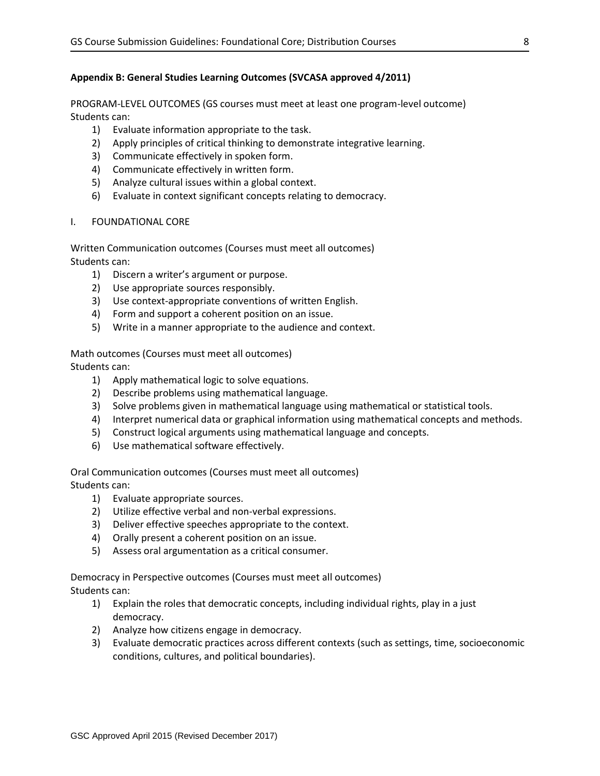# **Appendix B: General Studies Learning Outcomes (SVCASA approved 4/2011)**

PROGRAM-LEVEL OUTCOMES (GS courses must meet at least one program-level outcome) Students can:

- 1) Evaluate information appropriate to the task.
- 2) Apply principles of critical thinking to demonstrate integrative learning.
- 3) Communicate effectively in spoken form.
- 4) Communicate effectively in written form.
- 5) Analyze cultural issues within a global context.
- 6) Evaluate in context significant concepts relating to democracy.
- I. FOUNDATIONAL CORE

Written Communication outcomes (Courses must meet all outcomes) Students can:

- 1) Discern a writer's argument or purpose.
- 2) Use appropriate sources responsibly.
- 3) Use context-appropriate conventions of written English.
- 4) Form and support a coherent position on an issue.
- 5) Write in a manner appropriate to the audience and context.

Math outcomes (Courses must meet all outcomes) Students can:

- 1) Apply mathematical logic to solve equations.
- 2) Describe problems using mathematical language.
- 3) Solve problems given in mathematical language using mathematical or statistical tools.
- 4) Interpret numerical data or graphical information using mathematical concepts and methods.
- 5) Construct logical arguments using mathematical language and concepts.
- 6) Use mathematical software effectively.

Oral Communication outcomes (Courses must meet all outcomes) Students can:

- 1) Evaluate appropriate sources.
- 2) Utilize effective verbal and non-verbal expressions.
- 3) Deliver effective speeches appropriate to the context.
- 4) Orally present a coherent position on an issue.
- 5) Assess oral argumentation as a critical consumer.

Democracy in Perspective outcomes (Courses must meet all outcomes)

Students can:

- 1) Explain the roles that democratic concepts, including individual rights, play in a just democracy.
- 2) Analyze how citizens engage in democracy.
- 3) Evaluate democratic practices across different contexts (such as settings, time, socioeconomic conditions, cultures, and political boundaries).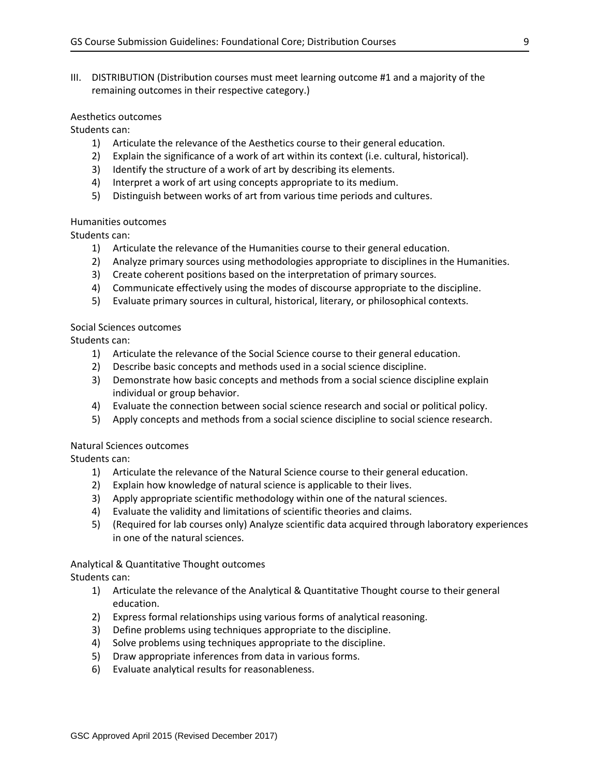III. DISTRIBUTION (Distribution courses must meet learning outcome #1 and a majority of the remaining outcomes in their respective category.)

## Aesthetics outcomes

Students can:

- 1) Articulate the relevance of the Aesthetics course to their general education.
- 2) Explain the significance of a work of art within its context (i.e. cultural, historical).
- 3) Identify the structure of a work of art by describing its elements.
- 4) Interpret a work of art using concepts appropriate to its medium.
- 5) Distinguish between works of art from various time periods and cultures.

### Humanities outcomes

Students can:

- 1) Articulate the relevance of the Humanities course to their general education.
- 2) Analyze primary sources using methodologies appropriate to disciplines in the Humanities.
- 3) Create coherent positions based on the interpretation of primary sources.
- 4) Communicate effectively using the modes of discourse appropriate to the discipline.
- 5) Evaluate primary sources in cultural, historical, literary, or philosophical contexts.

### Social Sciences outcomes

Students can:

- 1) Articulate the relevance of the Social Science course to their general education.
- 2) Describe basic concepts and methods used in a social science discipline.
- 3) Demonstrate how basic concepts and methods from a social science discipline explain individual or group behavior.
- 4) Evaluate the connection between social science research and social or political policy.
- 5) Apply concepts and methods from a social science discipline to social science research.

### Natural Sciences outcomes

Students can:

- 1) Articulate the relevance of the Natural Science course to their general education.
- 2) Explain how knowledge of natural science is applicable to their lives.
- 3) Apply appropriate scientific methodology within one of the natural sciences.
- 4) Evaluate the validity and limitations of scientific theories and claims.
- 5) (Required for lab courses only) Analyze scientific data acquired through laboratory experiences in one of the natural sciences.

## Analytical & Quantitative Thought outcomes Students can:

- 1) Articulate the relevance of the Analytical & Quantitative Thought course to their general education.
- 2) Express formal relationships using various forms of analytical reasoning.
- 3) Define problems using techniques appropriate to the discipline.
- 4) Solve problems using techniques appropriate to the discipline.
- 5) Draw appropriate inferences from data in various forms.
- 6) Evaluate analytical results for reasonableness.